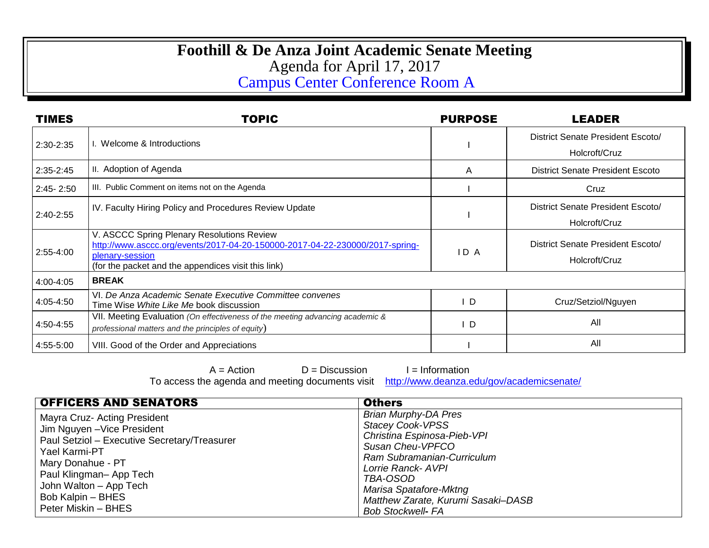## **Foothill & De Anza Joint Academic Senate Meeting** Agenda for April 17, 2017 Campus Center Conference Room A

| <b>TIMES</b>  | <b>TOPIC</b>                                                                                                                                                                                         | <b>PURPOSE</b> | LEADER                                             |
|---------------|------------------------------------------------------------------------------------------------------------------------------------------------------------------------------------------------------|----------------|----------------------------------------------------|
| 2:30-2:35     | Welcome & Introductions                                                                                                                                                                              |                | District Senate President Escoto/<br>Holcroft/Cruz |
| 2:35-2:45     | II. Adoption of Agenda                                                                                                                                                                               | A              | <b>District Senate President Escoto</b>            |
| $2:45 - 2:50$ | III. Public Comment on items not on the Agenda                                                                                                                                                       |                | Cruz                                               |
| 2:40-2:55     | IV. Faculty Hiring Policy and Procedures Review Update                                                                                                                                               |                | District Senate President Escoto/<br>Holcroft/Cruz |
| 2:55-4:00     | V. ASCCC Spring Plenary Resolutions Review<br>http://www.asccc.org/events/2017-04-20-150000-2017-04-22-230000/2017-spring-<br>plenary-session<br>(for the packet and the appendices visit this link) | ID A           | District Senate President Escoto/<br>Holcroft/Cruz |
| 4:00-4:05     | <b>BREAK</b>                                                                                                                                                                                         |                |                                                    |
| 4:05-4:50     | VI. De Anza Academic Senate Executive Committee convenes<br>Time Wise White Like Me book discussion                                                                                                  | D              | Cruz/Setziol/Nguyen                                |
| 4:50-4:55     | VII. Meeting Evaluation (On effectiveness of the meeting advancing academic &<br>professional matters and the principles of equity)                                                                  | ΙD             | All                                                |
| 4:55-5:00     | VIII. Good of the Order and Appreciations                                                                                                                                                            |                | All                                                |

 $A = Action$   $D = Discussion$  I = Information

To access the agenda and meeting documents visit <http://www.deanza.edu/gov/academicsenate/>

| <b>OFFICERS AND SENATORS</b>                                                                                                                                                                                                                      | <b>Others</b>                                                                                                                                                                                                                                                         |
|---------------------------------------------------------------------------------------------------------------------------------------------------------------------------------------------------------------------------------------------------|-----------------------------------------------------------------------------------------------------------------------------------------------------------------------------------------------------------------------------------------------------------------------|
| Mayra Cruz- Acting President<br>Jim Nguyen - Vice President<br>Paul Setziol - Executive Secretary/Treasurer<br>Yael Karmi-PT<br>Mary Donahue - PT<br>Paul Klingman-App Tech<br>John Walton - App Tech<br>Bob Kalpin - BHES<br>Peter Miskin - BHES | <b>Brian Murphy-DA Pres</b><br><b>Stacey Cook-VPSS</b><br>Christina Espinosa-Pieb-VPI<br>Susan Cheu-VPFCO<br>Ram Subramanian-Curriculum<br>Lorrie Ranck- AVPI<br>TBA-OSOD<br>Marisa Spatafore-Mktng<br>Matthew Zarate, Kurumi Sasaki-DASB<br><b>Bob Stockwell- FA</b> |